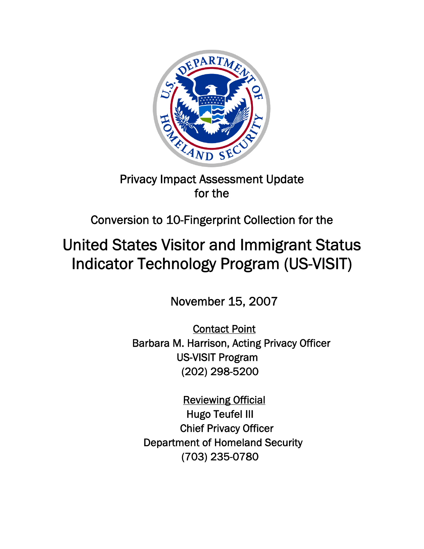

## Privacy Impact Assessment Update for the

## Conversion to 10-Fingerprint Collection for the

# United States Visitor and Immigrant Status Indicator Technology Program (US-VISIT)

November 15, 2007

Contact Point Barbara M. Harrison, Acting Privacy Officer US-VISIT Program (202) 298-5200

Reviewing Official Hugo Teufel III Chief Privacy Officer Department of Homeland Security (703) 235-0780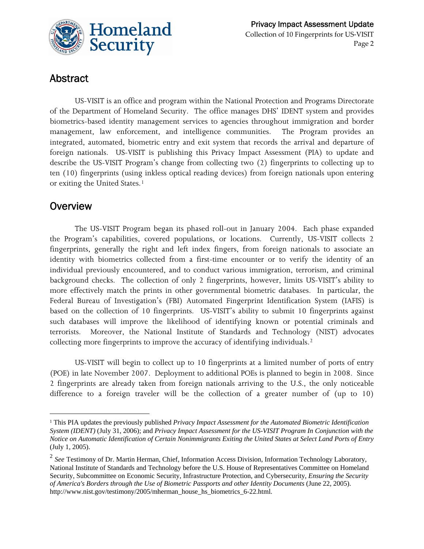

## Abstract

US-VISIT is an office and program within the National Protection and Programs Directorate of the Department of Homeland Security. The office manages DHS' IDENT system and provides biometrics-based identity management services to agencies throughout immigration and border management, law enforcement, and intelligence communities. The Program provides an integrated, automated, biometric entry and exit system that records the arrival and departure of foreign nationals. US-VISIT is publishing this Privacy Impact Assessment (PIA) to update and describe the US-VISIT Program's change from collecting two (2) fingerprints to collecting up to ten (10) fingerprints (using inkless optical reading devices) from foreign nationals upon entering or exiting the United States.<sup>[1](#page-1-0)</sup>

## **Overview**

<u> 1989 - Johann Stein, marwolaethau a bhann an t-Amhair Aonaichte an t-Amhair Aonaichte an t-Amhair Aonaichte a</u>

collecting more fingerprints to improve the accuracy of identifying individuals.<sup>[2](#page-1-1)</sup> The US-VISIT Program began its phased roll-out in January 2004. Each phase expanded the Program's capabilities, covered populations, or locations. Currently, US-VISIT collects 2 fingerprints, generally the right and left index fingers, from foreign nationals to associate an identity with biometrics collected from a first-time encounter or to verify the identity of an individual previously encountered, and to conduct various immigration, terrorism, and criminal background checks. The collection of only 2 fingerprints, however, limits US-VISIT's ability to more effectively match the prints in other governmental biometric databases. In particular, the Federal Bureau of Investigation's (FBI) Automated Fingerprint Identification System (IAFIS) is based on the collection of 10 fingerprints. US-VISIT's ability to submit 10 fingerprints against such databases will improve the likelihood of identifying known or potential criminals and terrorists. Moreover, the National Institute of Standards and Technology (NIST) advocates

US-VISIT will begin to collect up to 10 fingerprints at a limited number of ports of entry (POE) in late November 2007. Deployment to additional POEs is planned to begin in 2008. Since 2 fingerprints are already taken from foreign nationals arriving to the U.S., the only noticeable difference to a foreign traveler will be the collection of a greater number of (up to 10)

<span id="page-1-0"></span> *Notice on Automatic Identification of Certain Nonimmigrants Exiting the United States at Select Land Ports of Entry* <sup>1</sup> This PIA updates the previously published *Privacy Impact Assessment for the Automated Biometric Identification System (IDENT)* (July 31, 2006); and *Privacy Impact Assessment for the US-VISIT Program In Conjunction with the*  (July 1, 2005).

<span id="page-1-1"></span> <sup>2</sup>*See* Testimony of Dr. Martin Herman, Chief, Information Access Division, Information Technology Laboratory, National Institute of Standards and Technology before the U.S. House of Representatives Committee on Homeland Security, Subcommittee on Economic Security, Infrastructure Protection, and Cybersecurity*, Ensuring the Security of America's Borders through the Use of Biometric Passports and other Identity Documents* (June 22, 2005). http://www.nist.gov/testimony/2005/mherman\_house\_hs\_biometrics\_6-22.html.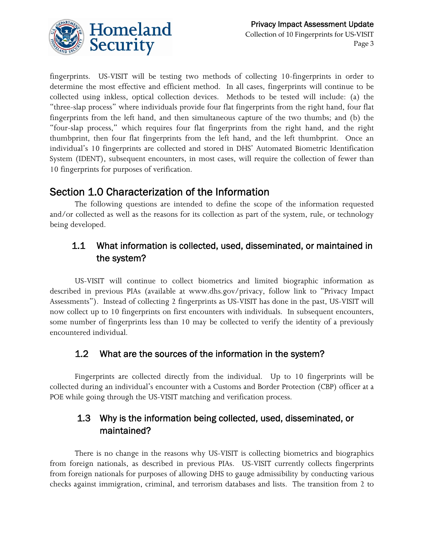

fingerprints. US-VISIT will be testing two methods of collecting 10-fingerprints in order to determine the most effective and efficient method. In all cases, fingerprints will continue to be collected using inkless, optical collection devices. Methods to be tested will include: (a) the "three-slap process" where individuals provide four flat fingerprints from the right hand, four flat fingerprints from the left hand, and then simultaneous capture of the two thumbs; and (b) the "four-slap process," which requires four flat fingerprints from the right hand, and the right thumbprint, then four flat fingerprints from the left hand, and the left thumbprint. Once an individual's 10 fingerprints are collected and stored in DHS' Automated Biometric Identification System (IDENT), subsequent encounters, in most cases, will require the collection of fewer than 10 fingerprints for purposes of verification.

## Section 1.0 Characterization of the Information

The following questions are intended to define the scope of the information requested and/or collected as well as the reasons for its collection as part of the system, rule, or technology being developed.

## 1.1 What information is collected, used, disseminated, or maintained in the system?

US-VISIT will continue to collect biometrics and limited biographic information as described in previous PIAs (available at www.dhs.gov/privacy, follow link to "Privacy Impact Assessments"). Instead of collecting 2 fingerprints as US-VISIT has done in the past, US-VISIT will now collect up to 10 fingerprints on first encounters with individuals. In subsequent encounters, some number of fingerprints less than 10 may be collected to verify the identity of a previously encountered individual.

### 1.2 What are the sources of the information in the system?

Fingerprints are collected directly from the individual. Up to 10 fingerprints will be collected during an individual's encounter with a Customs and Border Protection (CBP) officer at a POE while going through the US-VISIT matching and verification process.

## 1.3 Why is the information being collected, used, disseminated, or maintained?

There is no change in the reasons why US-VISIT is collecting biometrics and biographics from foreign nationals, as described in previous PIAs. US-VISIT currently collects fingerprints from foreign nationals for purposes of allowing DHS to gauge admissibility by conducting various checks against immigration, criminal, and terrorism databases and lists. The transition from 2 to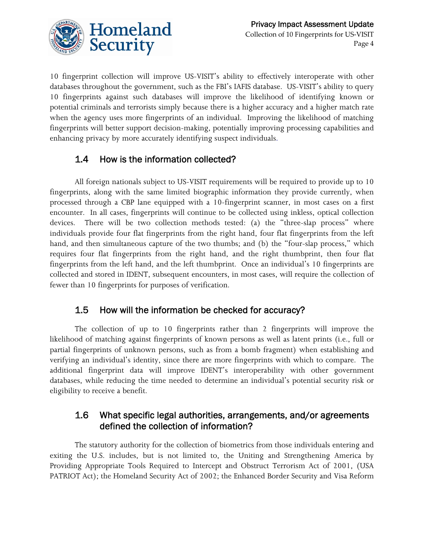

 enhancing privacy by more accurately identifying suspect individuals. 10 fingerprint collection will improve US-VISIT's ability to effectively interoperate with other databases throughout the government, such as the FBI's IAFIS database. US-VISIT's ability to query 10 fingerprints against such databases will improve the likelihood of identifying known or potential criminals and terrorists simply because there is a higher accuracy and a higher match rate when the agency uses more fingerprints of an individual. Improving the likelihood of matching fingerprints will better support decision-making, potentially improving processing capabilities and

#### $1.4$ How is the information collected?

All foreign nationals subject to US-VISIT requirements will be required to provide up to 10 fingerprints, along with the same limited biographic information they provide currently, when processed through a CBP lane equipped with a 10-fingerprint scanner, in most cases on a first encounter. In all cases, fingerprints will continue to be collected using inkless, optical collection devices. There will be two collection methods tested: (a) the "three-slap process" where individuals provide four flat fingerprints from the right hand, four flat fingerprints from the left hand, and then simultaneous capture of the two thumbs; and (b) the "four-slap process," which requires four flat fingerprints from the right hand, and the right thumbprint, then four flat fingerprints from the left hand, and the left thumbprint. Once an individual's 10 fingerprints are collected and stored in IDENT, subsequent encounters, in most cases, will require the collection of fewer than 10 fingerprints for purposes of verification.

## 1.5 How will the information be checked for accuracy?

The collection of up to 10 fingerprints rather than 2 fingerprints will improve the likelihood of matching against fingerprints of known persons as well as latent prints (i.e., full or partial fingerprints of unknown persons, such as from a bomb fragment) when establishing and verifying an individual's identity, since there are more fingerprints with which to compare. The additional fingerprint data will improve IDENT's interoperability with other government databases, while reducing the time needed to determine an individual's potential security risk or eligibility to receive a benefit.

### 1.6 What specific legal authorities, arrangements, and/or agreements defined the collection of information?

The statutory authority for the collection of biometrics from those individuals entering and exiting the U.S. includes, but is not limited to, the Uniting and Strengthening America by Providing Appropriate Tools Required to Intercept and Obstruct Terrorism Act of 2001, (USA PATRIOT Act); the Homeland Security Act of 2002; the Enhanced Border Security and Visa Reform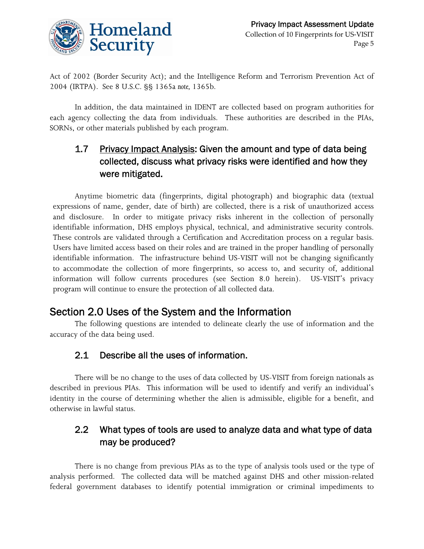

Act of 2002 (Border Security Act); and the Intelligence Reform and Terrorism Prevention Act of 2004 (IRTPA). See 8 U.S.C. §§ 1365a *note,* 1365b.

In addition, the data maintained in IDENT are collected based on program authorities for each agency collecting the data from individuals. These authorities are described in the PIAs, SORNs, or other materials published by each program.

## 1.7 Privacy Impact Analysis: Given the amount and type of data being collected, discuss what privacy risks were identified and how they were mitigated.

 identifiable information, DHS employs physical, technical, and administrative security controls. These controls are validated through a Certification and Accreditation process on a regular basis. Anytime biometric data (fingerprints, digital photograph) and biographic data (textual expressions of name, gender, date of birth) are collected, there is a risk of unauthorized access and disclosure. In order to mitigate privacy risks inherent in the collection of personally Users have limited access based on their roles and are trained in the proper handling of personally identifiable information. The infrastructure behind US-VISIT will not be changing significantly to accommodate the collection of more fingerprints, so access to, and security of, additional information will follow currents procedures (see Section 8.0 herein). US-VISIT's privacy program will continue to ensure the protection of all collected data.

## Section 2.0 Uses of the System and the Information

The following questions are intended to delineate clearly the use of information and the accuracy of the data being used.

## 2.1 Describe all the uses of information.

There will be no change to the uses of data collected by US-VISIT from foreign nationals as described in previous PIAs. This information will be used to identify and verify an individual's identity in the course of determining whether the alien is admissible, eligible for a benefit, and otherwise in lawful status.

#### $2.2$ What types of tools are used to analyze data and what type of data may be produced?

There is no change from previous PIAs as to the type of analysis tools used or the type of analysis performed. The collected data will be matched against DHS and other mission-related federal government databases to identify potential immigration or criminal impediments to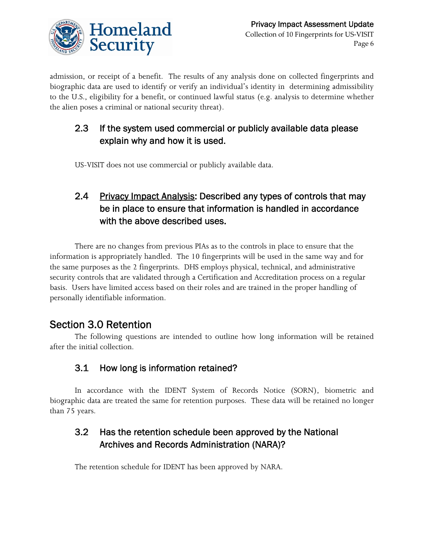

admission, or receipt of a benefit. The results of any analysis done on collected fingerprints and biographic data are used to identify or verify an individual's identity in determining admissibility to the U.S., eligibility for a benefit, or continued lawful status (e.g. analysis to determine whether the alien poses a criminal or national security threat).

#### $2.3$ If the system used commercial or publicly available data please explain why and how it is used.

US-VISIT does not use commercial or publicly available data.

## 2.4 Privacy Impact Analysis: Described any types of controls that may be in place to ensure that information is handled in accordance with the above described uses.

There are no changes from previous PIAs as to the controls in place to ensure that the information is appropriately handled. The 10 fingerprints will be used in the same way and for the same purposes as the 2 fingerprints. DHS employs physical, technical, and administrative security controls that are validated through a Certification and Accreditation process on a regular basis. Users have limited access based on their roles and are trained in the proper handling of personally identifiable information.

## Section 3.0 Retention

The following questions are intended to outline how long information will be retained after the initial collection.

## 3.1 How long is information retained?

In accordance with the IDENT System of Records Notice (SORN), biometric and biographic data are treated the same for retention purposes. These data will be retained no longer than 75 years.

## Archives and Records Administration (NARA)? 3.2 Has the retention schedule been approved by the National

The retention schedule for IDENT has been approved by NARA.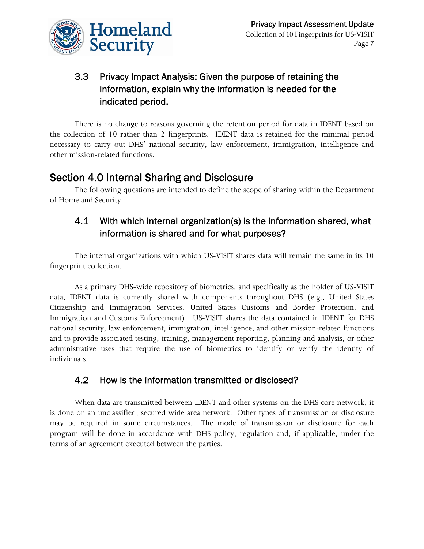

## 3.3 Privacy Impact Analysis: Given the purpose of retaining the information, explain why the information is needed for the indicated period.

There is no change to reasons governing the retention period for data in IDENT based on the collection of 10 rather than 2 fingerprints. IDENT data is retained for the minimal period necessary to carry out DHS' national security, law enforcement, immigration, intelligence and other mission-related functions.

## Section 4.0 Internal Sharing and Disclosure

The following questions are intended to define the scope of sharing within the Department of Homeland Security.

## 4.1 With which internal organization(s) is the information shared, what information is shared and for what purposes?

The internal organizations with which US-VISIT shares data will remain the same in its 10 fingerprint collection.

As a primary DHS-wide repository of biometrics, and specifically as the holder of US-VISIT data, IDENT data is currently shared with components throughout DHS (e.g., United States Citizenship and Immigration Services, United States Customs and Border Protection, and Immigration and Customs Enforcement). US-VISIT shares the data contained in IDENT for DHS national security, law enforcement, immigration, intelligence, and other mission-related functions and to provide associated testing, training, management reporting, planning and analysis, or other administrative uses that require the use of biometrics to identify or verify the identity of individuals.

### 4.2 How is the information transmitted or disclosed?

When data are transmitted between IDENT and other systems on the DHS core network, it is done on an unclassified, secured wide area network. Other types of transmission or disclosure may be required in some circumstances. The mode of transmission or disclosure for each program will be done in accordance with DHS policy, regulation and, if applicable, under the terms of an agreement executed between the parties.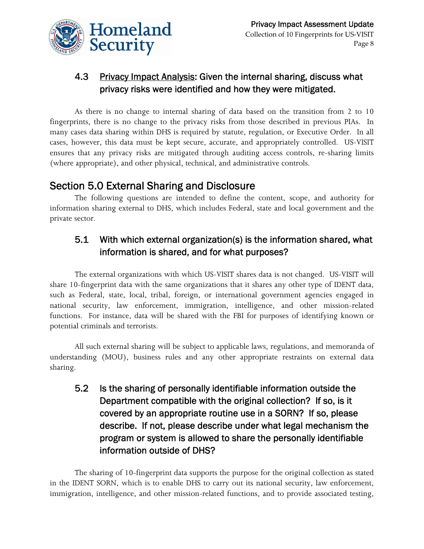

## 4.3 Privacy Impact Analysis: Given the internal sharing, discuss what privacy risks were identified and how they were mitigated.

As there is no change to internal sharing of data based on the transition from 2 to 10 fingerprints, there is no change to the privacy risks from those described in previous PIAs. In many cases data sharing within DHS is required by statute, regulation, or Executive Order. In all cases, however, this data must be kept secure, accurate, and appropriately controlled. US-VISIT ensures that any privacy risks are mitigated through auditing access controls, re-sharing limits (where appropriate), and other physical, technical, and administrative controls.

## Section 5.0 External Sharing and Disclosure

The following questions are intended to define the content, scope, and authority for information sharing external to DHS, which includes Federal, state and local government and the private sector.

## 5.1 With which external organization(s) is the information shared, what information is shared, and for what purposes?

The external organizations with which US-VISIT shares data is not changed. US-VISIT will share 10-fingerprint data with the same organizations that it shares any other type of IDENT data, such as Federal, state, local, tribal, foreign, or international government agencies engaged in national security, law enforcement, immigration, intelligence, and other mission-related functions. For instance, data will be shared with the FBI for purposes of identifying known or potential criminals and terrorists.

All such external sharing will be subject to applicable laws, regulations, and memoranda of understanding (MOU), business rules and any other appropriate restraints on external data sharing.

5.2 Is the sharing of personally identifiable information outside the Department compatible with the original collection? If so, is it covered by an appropriate routine use in a SORN? If so, please describe. If not, please describe under what legal mechanism the program or system is allowed to share the personally identifiable information outside of DHS?

The sharing of 10-fingerprint data supports the purpose for the original collection as stated in the IDENT SORN, which is to enable DHS to carry out its national security, law enforcement, immigration, intelligence, and other mission-related functions, and to provide associated testing,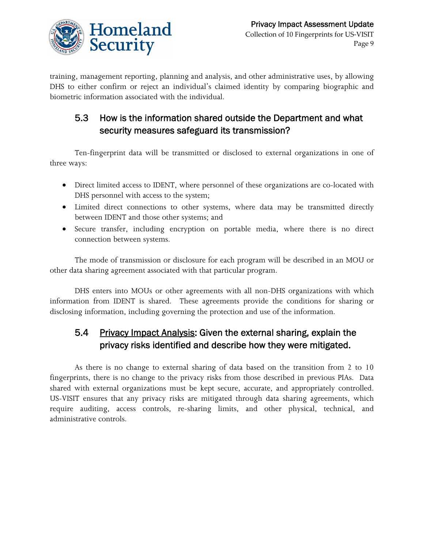

training, management reporting, planning and analysis, and other administrative uses, by allowing DHS to either confirm or reject an individual's claimed identity by comparing biographic and biometric information associated with the individual.

## 5.3 How is the information shared outside the Department and what security measures safeguard its transmission?

Ten-fingerprint data will be transmitted or disclosed to external organizations in one of three ways:

- Direct limited access to IDENT, where personnel of these organizations are co-located with DHS personnel with access to the system;
- Limited direct connections to other systems, where data may be transmitted directly between IDENT and those other systems; and
- Secure transfer, including encryption on portable media, where there is no direct connection between systems.

The mode of transmission or disclosure for each program will be described in an MOU or other data sharing agreement associated with that particular program.

DHS enters into MOUs or other agreements with all non-DHS organizations with which information from IDENT is shared. These agreements provide the conditions for sharing or disclosing information, including governing the protection and use of the information.

## 5.4 Privacy Impact Analysis: Given the external sharing, explain the privacy risks identified and describe how they were mitigated.

shared with external organizations must be kept secure, accurate, and appropriately controlled. As there is no change to external sharing of data based on the transition from 2 to 10 fingerprints, there is no change to the privacy risks from those described in previous PIAs. Data US-VISIT ensures that any privacy risks are mitigated through data sharing agreements, which require auditing, access controls, re-sharing limits, and other physical, technical, and administrative controls.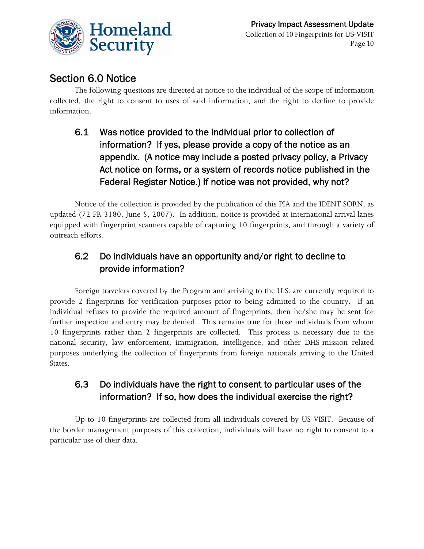

## Section 6.0 Notice

 information. The following questions are directed at notice to the individual of the scope of information collected, the right to consent to uses of said information, and the right to decline to provide

## 6.1 Was notice provided to the individual prior to collection of information? If yes, please provide a copy of the notice as an appendix. (A notice may include a posted privacy policy, a Privacy Act notice on forms, or a system of records notice published in the Federal Register Notice.) If notice was not provided, why not?

Notice of the collection is provided by the publication of this PIA and the IDENT SORN, as updated (72 FR 3180, June 5, 2007). In addition, notice is provided at international arrival lanes equipped with fingerprint scanners capable of capturing 10 fingerprints, and through a variety of outreach efforts.

## 6.2 Do individuals have an opportunity and/or right to decline to provide information?

Foreign travelers covered by the Program and arriving to the U.S. are currently required to provide 2 fingerprints for verification purposes prior to being admitted to the country. If an individual refuses to provide the required amount of fingerprints, then he/she may be sent for further inspection and entry may be denied. This remains true for those individuals from whom 10 fingerprints rather than 2 fingerprints are collected. This process is necessary due to the national security, law enforcement, immigration, intelligence, and other DHS-mission related purposes underlying the collection of fingerprints from foreign nationals arriving to the United States.

## 6.3 Do individuals have the right to consent to particular uses of the information? If so, how does the individual exercise the right?

Up to 10 fingerprints are collected from all individuals covered by US-VISIT. Because of the border management purposes of this collection, individuals will have no right to consent to a particular use of their data.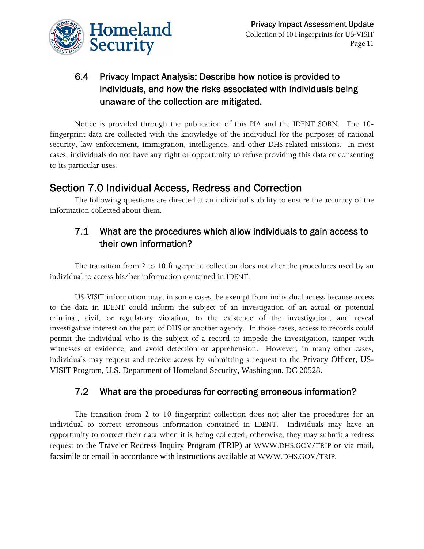

## 6.4 Privacy Impact Analysis: Describe how notice is provided to individuals, and how the risks associated with individuals being unaware of the collection are mitigated.

Notice is provided through the publication of this PIA and the IDENT SORN. The 10 fingerprint data are collected with the knowledge of the individual for the purposes of national security, law enforcement, immigration, intelligence, and other DHS-related missions. In most cases, individuals do not have any right or opportunity to refuse providing this data or consenting to its particular uses.

## Section 7.0 Individual Access, Redress and Correction

The following questions are directed at an individual's ability to ensure the accuracy of the information collected about them.

## 7.1 What are the procedures which allow individuals to gain access to their own information?

The transition from 2 to 10 fingerprint collection does not alter the procedures used by an individual to access his/her information contained in IDENT.

US-VISIT information may, in some cases, be exempt from individual access because access to the data in IDENT could inform the subject of an investigation of an actual or potential criminal, civil, or regulatory violation, to the existence of the investigation, and reveal investigative interest on the part of DHS or another agency. In those cases, access to records could permit the individual who is the subject of a record to impede the investigation, tamper with witnesses or evidence, and avoid detection or apprehension. However, in many other cases, individuals may request and receive access by submitting a request to the Privacy Officer, US-VISIT Program, U.S. Department of Homeland Security, Washington, DC 20528.

### 7.2 What are the procedures for correcting erroneous information?

 facsimile or email in accordance with instructions available at WWW.DHS.GOV/TRIP. The transition from 2 to 10 fingerprint collection does not alter the procedures for an individual to correct erroneous information contained in IDENT. Individuals may have an opportunity to correct their data when it is being collected; otherwise, they may submit a redress request to the Traveler Redress Inquiry Program (TRIP) at WWW.DHS.GOV/TRIP or via mail,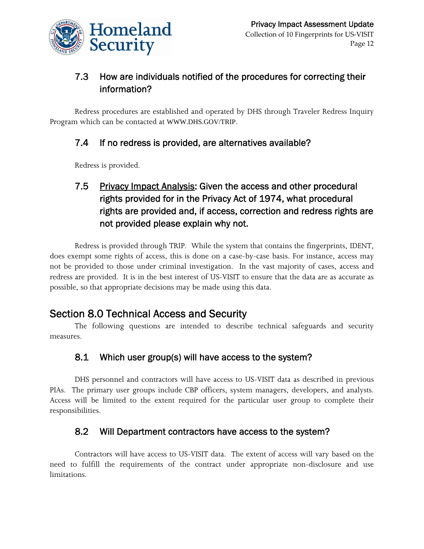

## information? 7.3 How are individuals notified of the procedures for correcting their

Redress procedures are established and operated by DHS through Traveler Redress Inquiry Program which can be contacted at WWW.DHS.GOV/TRIP.

### 7.4 If no redress is provided, are alternatives available?

Redress is provided.

## 7.5 Privacy Impact Analysis: Given the access and other procedural rights provided for in the Privacy Act of 1974, what procedural rights are provided and, if access, correction and redress rights are not provided please explain why not.

Redress is provided through TRIP. While the system that contains the fingerprints, IDENT, does exempt some rights of access, this is done on a case-by-case basis. For instance, access may not be provided to those under criminal investigation. In the vast majority of cases, access and redress are provided. It is in the best interest of US-VISIT to ensure that the data are as accurate as possible, so that appropriate decisions may be made using this data.

## Section 8.0 Technical Access and Security

The following questions are intended to describe technical safeguards and security measures.

## 8.1 Which user group(s) will have access to the system?

DHS personnel and contractors will have access to US-VISIT data as described in previous PIAs. The primary user groups include CBP officers, system managers, developers, and analysts. Access will be limited to the extent required for the particular user group to complete their responsibilities.

## 8.2 Will Department contractors have access to the system?

Contractors will have access to US-VISIT data. The extent of access will vary based on the need to fulfill the requirements of the contract under appropriate non-disclosure and use limitations.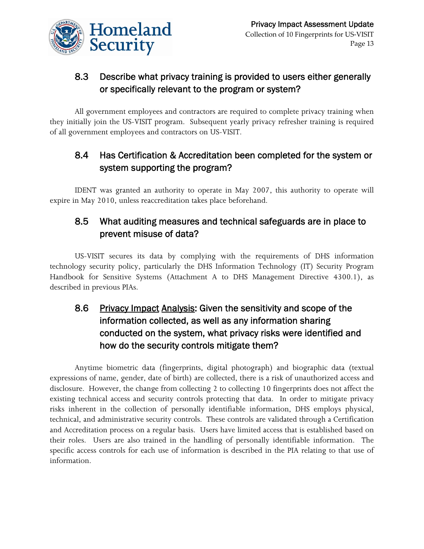

## 8.3 Describe what privacy training is provided to users either generally or specifically relevant to the program or system?

All government employees and contractors are required to complete privacy training when they initially join the US-VISIT program. Subsequent yearly privacy refresher training is required of all government employees and contractors on US-VISIT.

## 8.4 Has Certification & Accreditation been completed for the system or system supporting the program?

IDENT was granted an authority to operate in May 2007, this authority to operate will expire in May 2010, unless reaccreditation takes place beforehand.

## 8.5 What auditing measures and technical safeguards are in place to prevent misuse of data?

US-VISIT secures its data by complying with the requirements of DHS information technology security policy, particularly the DHS Information Technology (IT) Security Program Handbook for Sensitive Systems (Attachment A to DHS Management Directive 4300.1), as described in previous PIAs.

## 8.6 Privacy Impact Analysis: Given the sensitivity and scope of the information collected, as well as any information sharing conducted on the system, what privacy risks were identified and how do the security controls mitigate them?

Anytime biometric data (fingerprints, digital photograph) and biographic data (textual expressions of name, gender, date of birth) are collected, there is a risk of unauthorized access and disclosure. However, the change from collecting 2 to collecting 10 fingerprints does not affect the existing technical access and security controls protecting that data. In order to mitigate privacy risks inherent in the collection of personally identifiable information, DHS employs physical, technical, and administrative security controls. These controls are validated through a Certification and Accreditation process on a regular basis. Users have limited access that is established based on their roles. Users are also trained in the handling of personally identifiable information. The specific access controls for each use of information is described in the PIA relating to that use of information.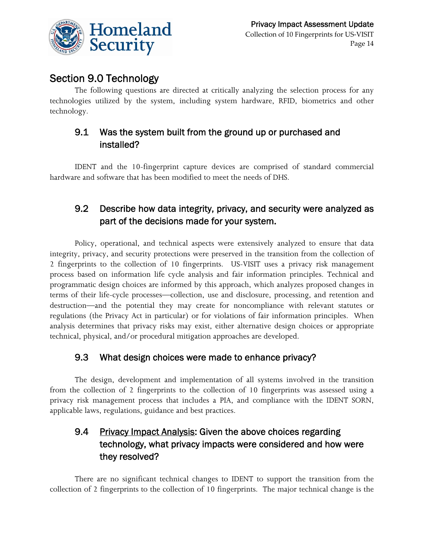

## Section 9.0 Technology

The following questions are directed at critically analyzing the selection process for any technologies utilized by the system, including system hardware, RFID, biometrics and other technology.

## 9.1 Was the system built from the ground up or purchased and installed?

IDENT and the 10-fingerprint capture devices are comprised of standard commercial hardware and software that has been modified to meet the needs of DHS.

## 9.2 Describe how data integrity, privacy, and security were analyzed as part of the decisions made for your system.

Policy, operational, and technical aspects were extensively analyzed to ensure that data integrity, privacy, and security protections were preserved in the transition from the collection of 2 fingerprints to the collection of 10 fingerprints. US-VISIT uses a privacy risk management process based on information life cycle analysis and fair information principles. Technical and programmatic design choices are informed by this approach, which analyzes proposed changes in terms of their life-cycle processes—collection, use and disclosure, processing, and retention and destruction—and the potential they may create for noncompliance with relevant statutes or regulations (the Privacy Act in particular) or for violations of fair information principles. When analysis determines that privacy risks may exist, either alternative design choices or appropriate technical, physical, and/or procedural mitigation approaches are developed.

### 9.3 What design choices were made to enhance privacy?

The design, development and implementation of all systems involved in the transition from the collection of 2 fingerprints to the collection of 10 fingerprints was assessed using a privacy risk management process that includes a PIA, and compliance with the IDENT SORN, applicable laws, regulations, guidance and best practices.

## 9.4 Privacy Impact Analysis: Given the above choices regarding technology, what privacy impacts were considered and how were they resolved?

There are no significant technical changes to IDENT to support the transition from the collection of 2 fingerprints to the collection of 10 fingerprints. The major technical change is the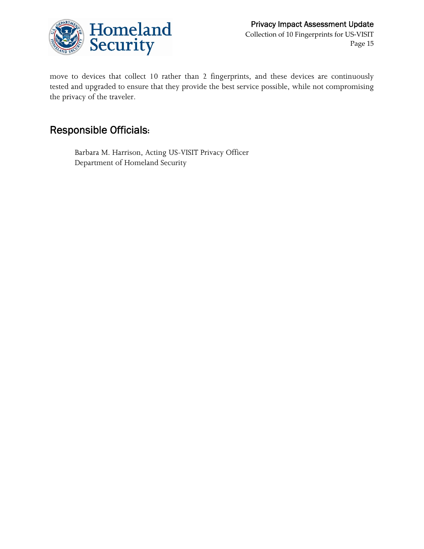

move to devices that collect 10 rather than 2 fingerprints, and these devices are continuously tested and upgraded to ensure that they provide the best service possible, while not compromising the privacy of the traveler.

## Responsible Officials**:**

Barbara M. Harrison, Acting US-VISIT Privacy Officer Department of Homeland Security